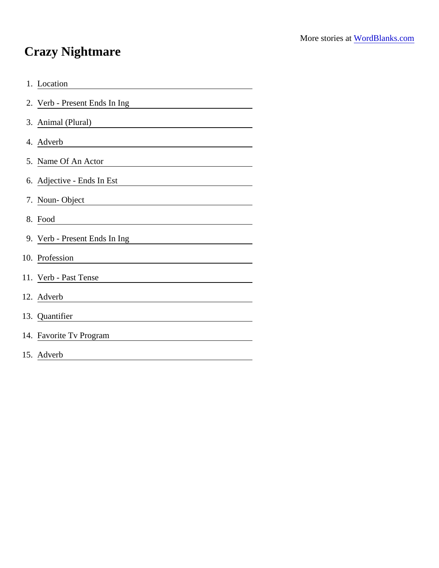## Crazy Nightmare

| 1. Location                                                                                                                            |
|----------------------------------------------------------------------------------------------------------------------------------------|
| 2. Verb - Present Ends In Ing                                                                                                          |
| 3. Animal (Plural)                                                                                                                     |
| 4. Adverb                                                                                                                              |
| 5. Name Of An Actor                                                                                                                    |
| 6. Adjective - Ends In Est                                                                                                             |
| 7. Noun-Object                                                                                                                         |
| 8. Food<br><u> 1989 - Johann Stein, mars an deus Amerikaansk kommunister (</u>                                                         |
| 9. Verb - Present Ends In Ing                                                                                                          |
| 10. Profession                                                                                                                         |
| 11. Verb - Past Tense                                                                                                                  |
| 12. Adverb                                                                                                                             |
| 13. Quantifier<br><u> 1989 - Johann Barn, mars ann an t-Amhain Aonaich an t-Aonaich an t-Aonaich ann an t-Aonaich ann an t-Aonaich</u> |
| 14. Favorite Tv Program                                                                                                                |
| 15. Adverb                                                                                                                             |